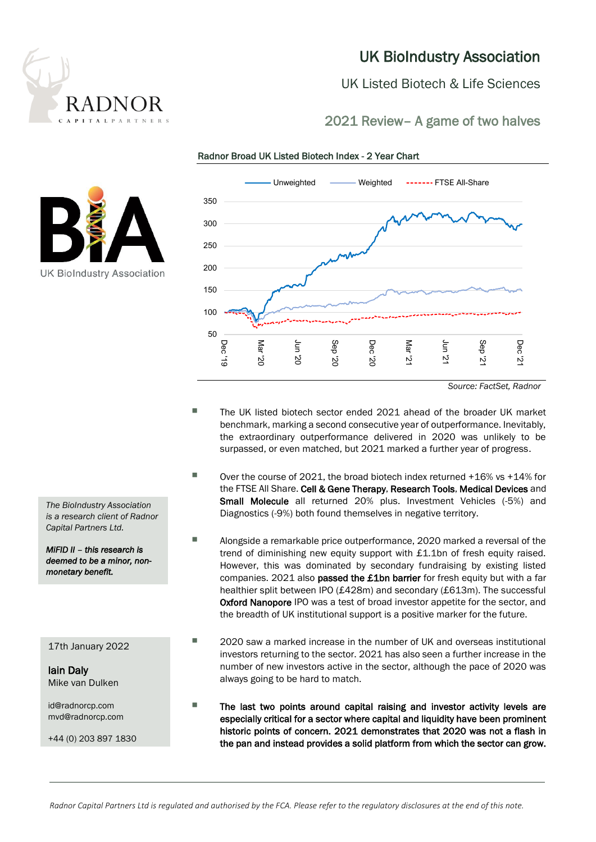

## UK BioIndustry Association

UK Listed Biotech & Life Sciences

## 2021 Review– A game of two halves

**UK BioIndustry Association** 



Radnor Broad UK Listed Biotech Index - 2 Year Chart

*Source: FactSet, Radnor*

- The UK listed biotech sector ended 2021 ahead of the broader UK market benchmark, marking a second consecutive year of outperformance. Inevitably, the extraordinary outperformance delivered in 2020 was unlikely to be surpassed, or even matched, but 2021 marked a further year of progress.
- $\blacksquare$  Over the course of 2021, the broad biotech index returned +16% vs +14% for the FTSE All Share. Cell & Gene Therapy, Research Tools, Medical Devices and Small Molecule all returned 20% plus. Investment Vehicles (-5%) and Diagnostics (-9%) both found themselves in negative territory.
- Alongside a remarkable price outperformance, 2020 marked a reversal of the trend of diminishing new equity support with £1.1bn of fresh equity raised. However, this was dominated by secondary fundraising by existing listed companies. 2021 also passed the £1bn barrier for fresh equity but with a far healthier split between IPO (£428m) and secondary (£613m). The successful Oxford Nanopore IPO was a test of broad investor appetite for the sector, and the breadth of UK institutional support is a positive marker for the future.
- 2020 saw a marked increase in the number of UK and overseas institutional investors returning to the sector. 2021 has also seen a further increase in the number of new investors active in the sector, although the pace of 2020 was always going to be hard to match.
- The last two points around capital raising and investor activity levels are especially critical for a sector where capital and liquidity have been prominent historic points of concern. 2021 demonstrates that 2020 was not a flash in the pan and instead provides a solid platform from which the sector can grow.

*The BioIndustry Association is a research client of Radnor Capital Partners Ltd.*

*MiFID II – this research is deemed to be a minor, nonmonetary benefit.* 

17th January 2022

Iain Daly Mike van Dulken

id@radnorcp.com mvd@radnorcp.com

+44 (0) 203 897 1830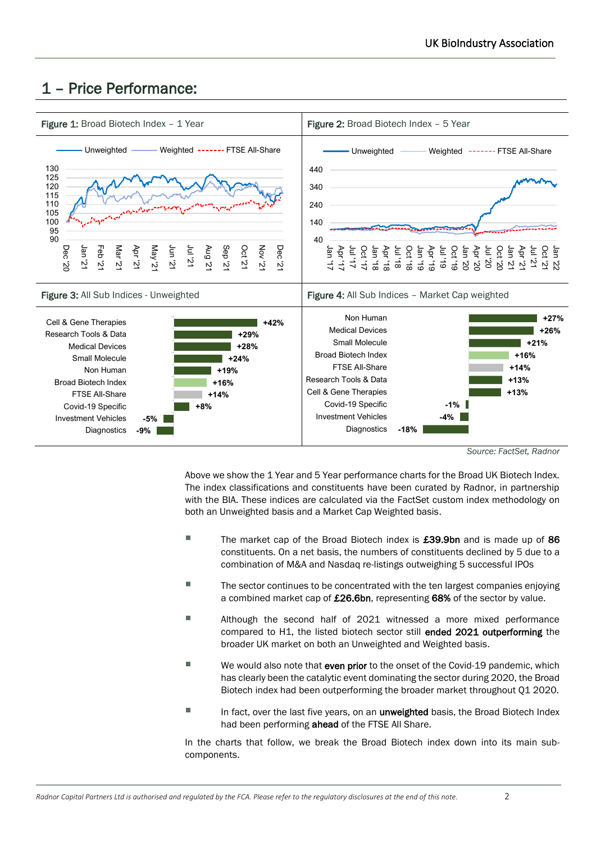# 1 – Price Performance:



*Source: FactSet, Radnor*

Above we show the 1 Year and 5 Year performance charts for the Broad UK Biotech Index. The index classifications and constituents have been curated by Radnor, in partnership with the BIA. These indices are calculated via the FactSet custom index methodology on both an Unweighted basis and a Market Cap Weighted basis.

- The market cap of the Broad Biotech index is £39.9bn and is made up of 86 constituents. On a net basis, the numbers of constituents declined by 5 due to a combination of M&A and Nasdaq re-listings outweighing 5 successful IPOs
- The sector continues to be concentrated with the ten largest companies enjoying a combined market cap of £26.6bn, representing 68% of the sector by value.
- Although the second half of 2021 witnessed a more mixed performance compared to H1, the listed biotech sector still ended 2021 outperforming the broader UK market on both an Unweighted and Weighted basis.
- $\blacksquare$  We would also note that even prior to the onset of the Covid-19 pandemic, which has clearly been the catalytic event dominating the sector during 2020, the Broad Biotech index had been outperforming the broader market throughout Q1 2020.
- In fact, over the last five years, on an *unweighted* basis, the Broad Biotech Index had been performing ahead of the FTSE All Share.

In the charts that follow, we break the Broad Biotech index down into its main subcomponents.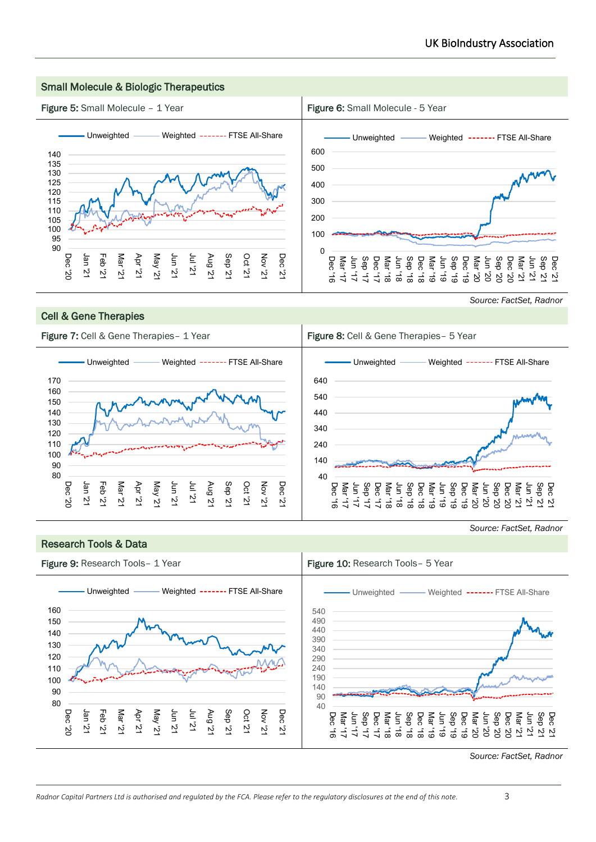

## Cell & Gene Therapies

Research Tools & Data

## *Source: FactSet, Radnor*



*Source: FactSet, Radnor*

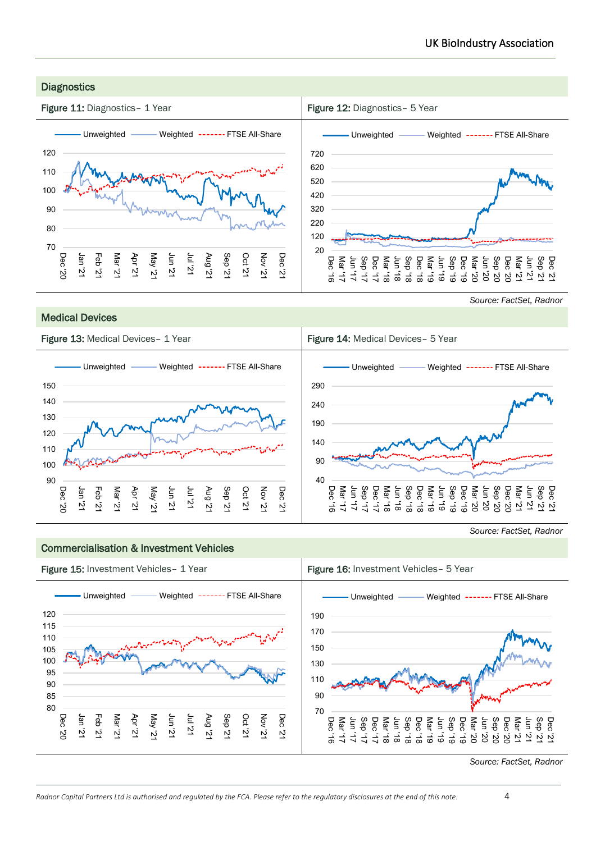

Medical Devices

*Source: FactSet, Radnor*



#### Commercialisation & Investment Vehicles



*Source: FactSet, Radnor*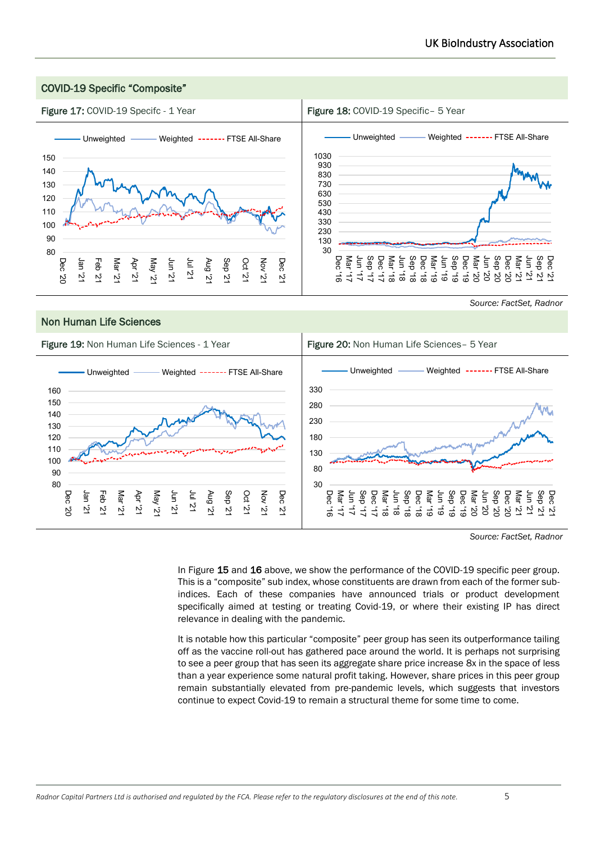

*Source: FactSet, Radnor*

In Figure 15 and 16 above, we show the performance of the COVID-19 specific peer group. This is a "composite" sub index, whose constituents are drawn from each of the former subindices. Each of these companies have announced trials or product development specifically aimed at testing or treating Covid-19, or where their existing IP has direct relevance in dealing with the pandemic.

It is notable how this particular "composite" peer group has seen its outperformance tailing off as the vaccine roll-out has gathered pace around the world. It is perhaps not surprising to see a peer group that has seen its aggregate share price increase 8x in the space of less than a year experience some natural profit taking. However, share prices in this peer group remain substantially elevated from pre-pandemic levels, which suggests that investors continue to expect Covid-19 to remain a structural theme for some time to come.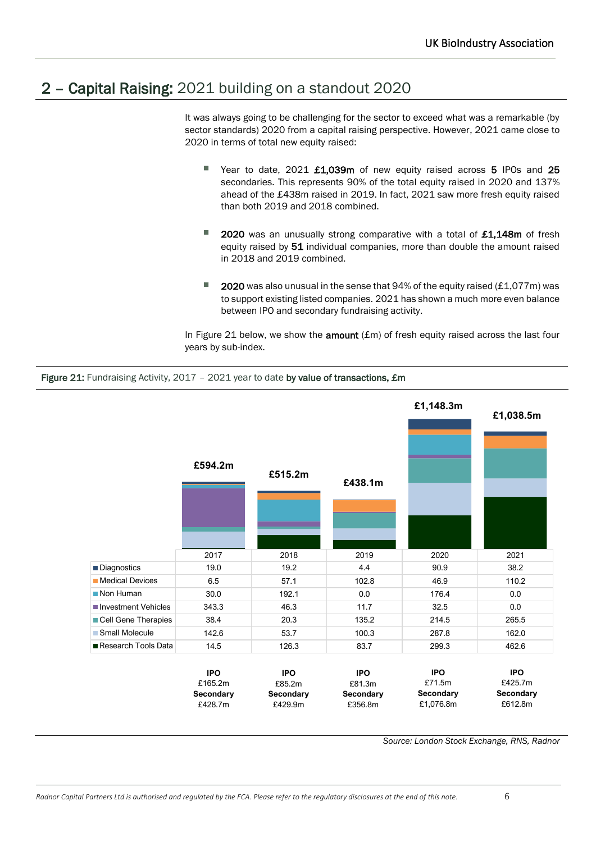# 2 – Capital Raising: 2021 building on a standout 2020

Figure 21: Fundraising Activity, 2017 - 2021 year to date by value of transactions, £m

It was always going to be challenging for the sector to exceed what was a remarkable (by sector standards) 2020 from a capital raising perspective. However, 2021 came close to 2020 in terms of total new equity raised:

- Year to date, 2021 £1,039m of new equity raised across 5 IPOs and 25 secondaries. This represents 90% of the total equity raised in 2020 and 137% ahead of the £438m raised in 2019. In fact, 2021 saw more fresh equity raised than both 2019 and 2018 combined.
- 2020 was an unusually strong comparative with a total of £1,148m of fresh equity raised by 51 individual companies, more than double the amount raised in 2018 and 2019 combined.
- **2020** was also unusual in the sense that 94% of the equity raised  $(E1.077m)$  was to support existing listed companies. 2021 has shown a much more even balance between IPO and secondary fundraising activity.

In Figure 21 below, we show the **amount**  $(fm)$  of fresh equity raised across the last four years by sub-index.



*Source: London Stock Exchange, RNS, Radnor*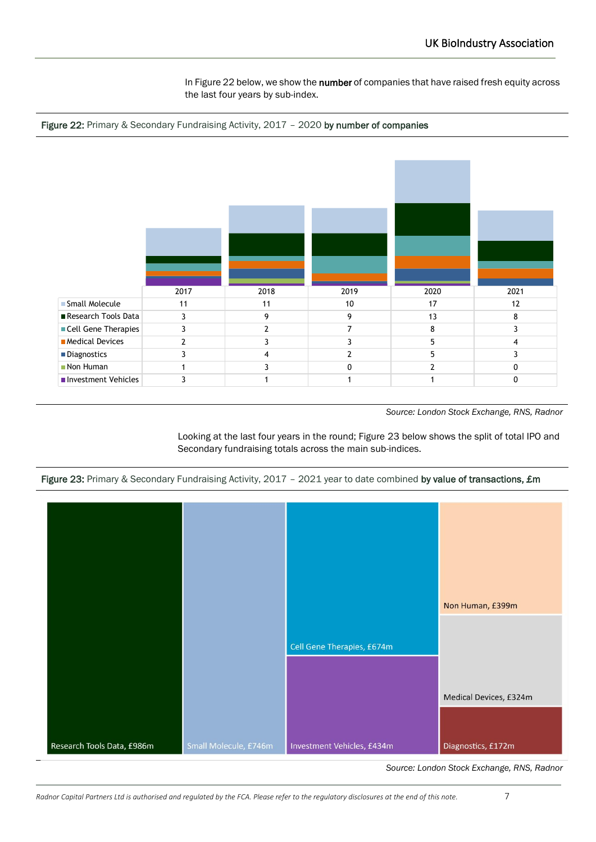In Figure 22 below, we show the number of companies that have raised fresh equity across the last four years by sub-index.





*Source: London Stock Exchange, RNS, Radnor*

Looking at the last four years in the round; Figure 23 below shows the split of total IPO and Secondary fundraising totals across the main sub-indices.





*Source: London Stock Exchange, RNS, Radnor*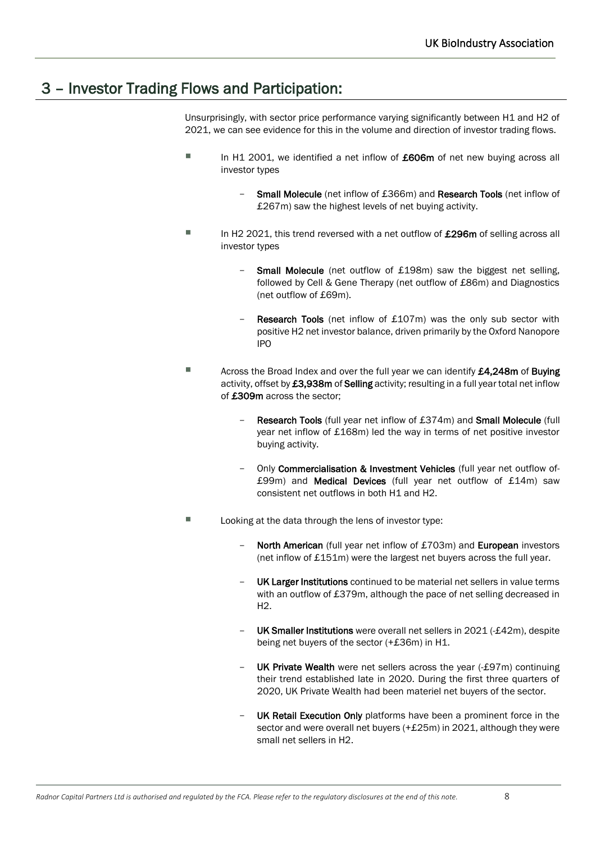## 3 – Investor Trading Flows and Participation:

Unsurprisingly, with sector price performance varying significantly between H1 and H2 of 2021, we can see evidence for this in the volume and direction of investor trading flows.

- In H1 2001, we identified a net inflow of £606m of net new buying across all investor types
	- Small Molecule (net inflow of £366m) and Research Tools (net inflow of £267m) saw the highest levels of net buying activity.
- $\blacksquare$  In H2 2021, this trend reversed with a net outflow of  $£296m$  of selling across all investor types
	- **Small Molecule** (net outflow of £198m) saw the biggest net selling, followed by Cell & Gene Therapy (net outflow of £86m) and Diagnostics (net outflow of £69m).
	- Research Tools (net inflow of £107m) was the only sub sector with positive H2 net investor balance, driven primarily by the Oxford Nanopore IPO
- Across the Broad Index and over the full year we can identify £4,248m of Buying activity, offset by £3,938m of Selling activity; resulting in a full year total net inflow of £309m across the sector;
	- Research Tools (full year net inflow of £374m) and Small Molecule (full year net inflow of £168m) led the way in terms of net positive investor buying activity.
	- Only Commercialisation & Investment Vehicles (full year net outflow of-£99m) and Medical Devices (full year net outflow of £14m) saw consistent net outflows in both H1 and H2.
- Looking at the data through the lens of investor type:
	- North American (full year net inflow of £703m) and European investors (net inflow of £151m) were the largest net buyers across the full year.
	- UK Larger Institutions continued to be material net sellers in value terms with an outflow of £379m, although the pace of net selling decreased in H2.
	- UK Smaller Institutions were overall net sellers in 2021 (-£42m), despite being net buyers of the sector (+£36m) in H1.
	- UK Private Wealth were net sellers across the year (-£97m) continuing their trend established late in 2020. During the first three quarters of 2020, UK Private Wealth had been materiel net buyers of the sector.
	- UK Retail Execution Only platforms have been a prominent force in the sector and were overall net buyers (+£25m) in 2021, although they were small net sellers in H2.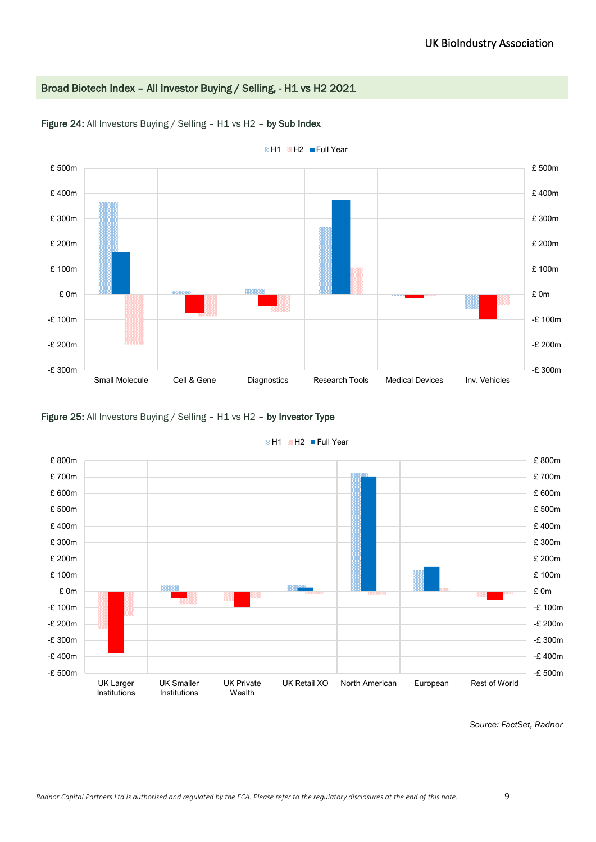## Broad Biotech Index – All Investor Buying / Selling, - H1 vs H2 2021



Figure 24: All Investors Buying / Selling - H1 vs H2 - by Sub Index

#### Figure 25: All Investors Buying / Selling – H1 vs H2 – by Investor Type



**BH1 BH2** Full Year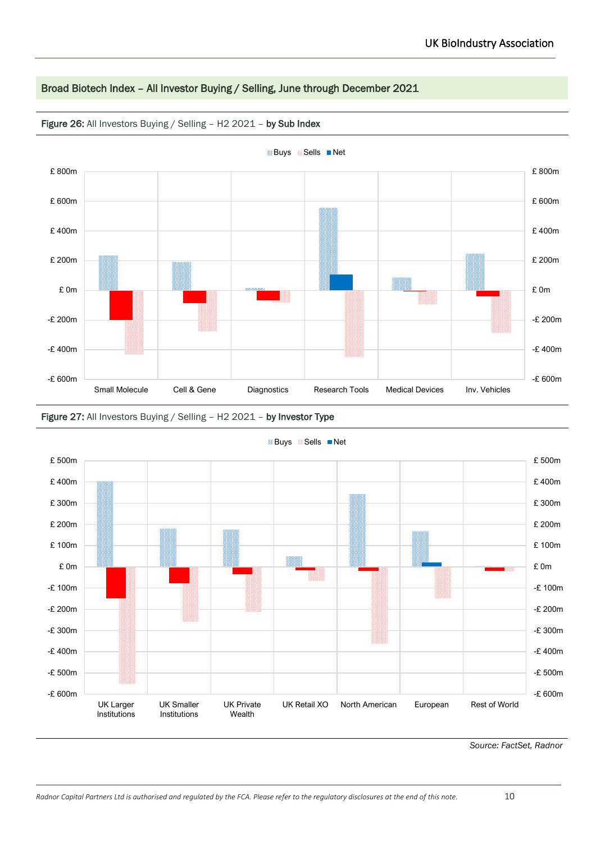## Broad Biotech Index – All Investor Buying / Selling, June through December 2021



Figure 26: All Investors Buying / Selling - H2 2021 - by Sub Index



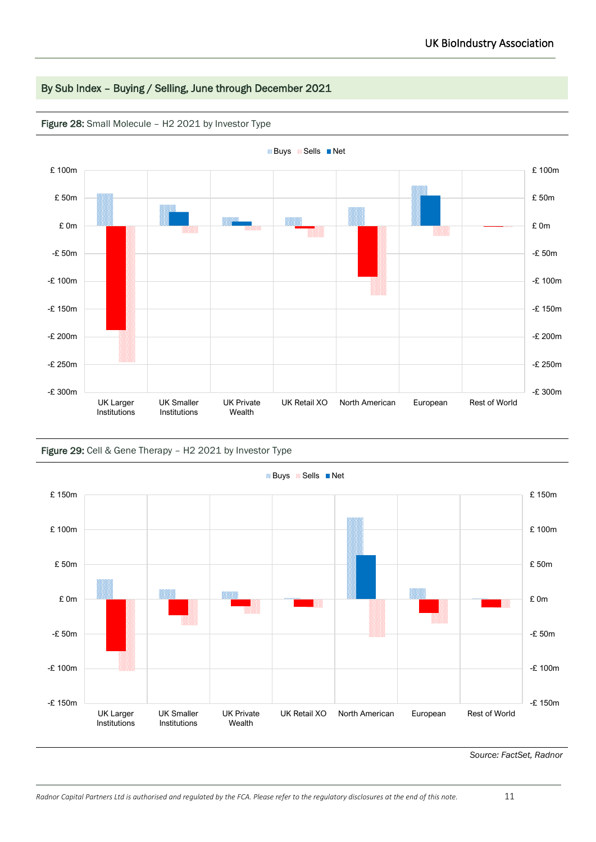## By Sub Index – Buying / Selling, June through December 2021



#### Figure 28: Small Molecule – H2 2021 by Investor Type

#### Figure 29: Cell & Gene Therapy – H2 2021 by Investor Type

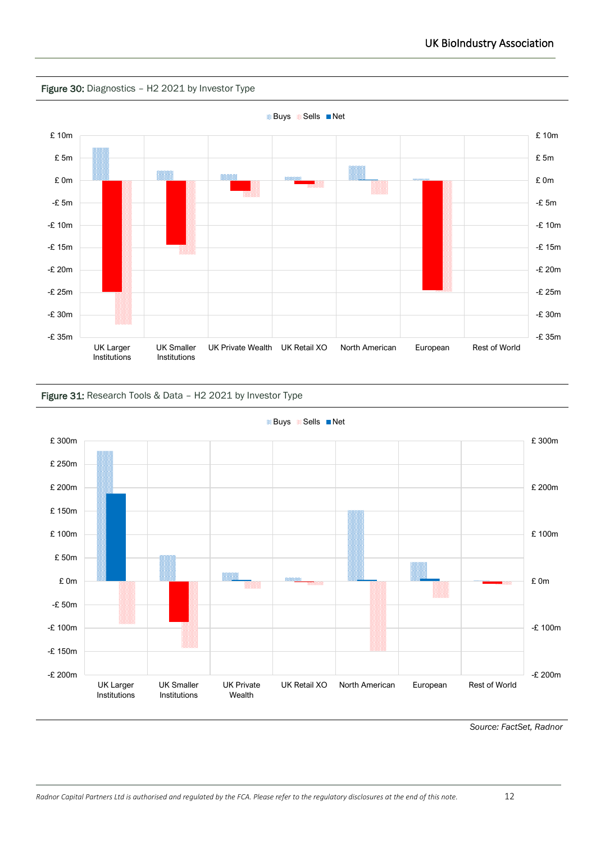







**B**Buys **B**Sells **Net**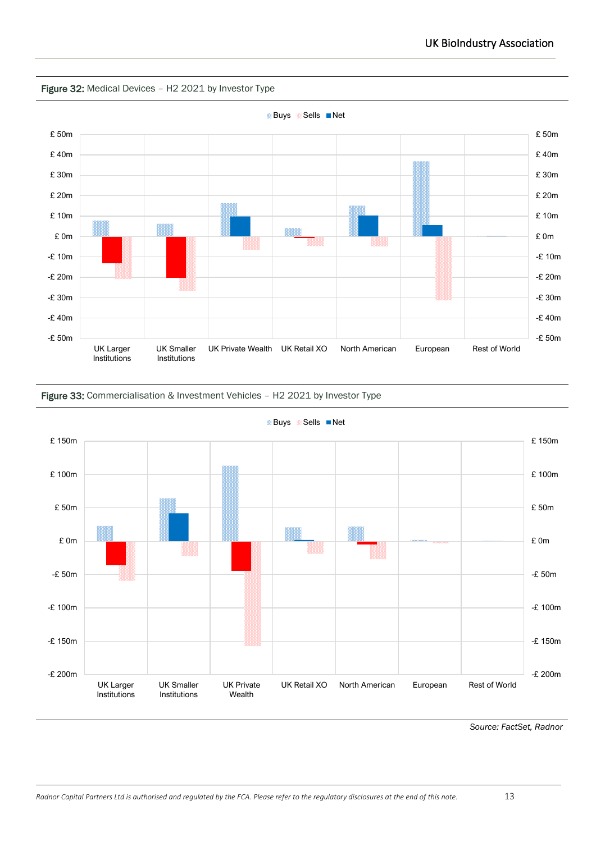



## Figure 33: Commercialisation & Investment Vehicles – H2 2021 by Investor Type



**BB** Buys **R** Sells **Net**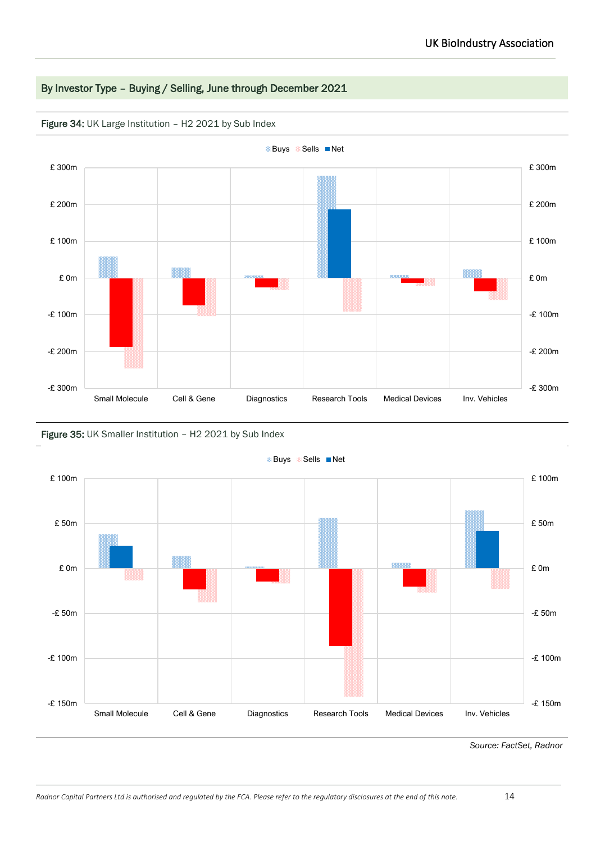## By Investor Type – Buying / Selling, June through December 2021



Figure 34: UK Large Institution - H2 2021 by Sub Index

### Figure 35: UK Smaller Institution - H2 2021 by Sub Index

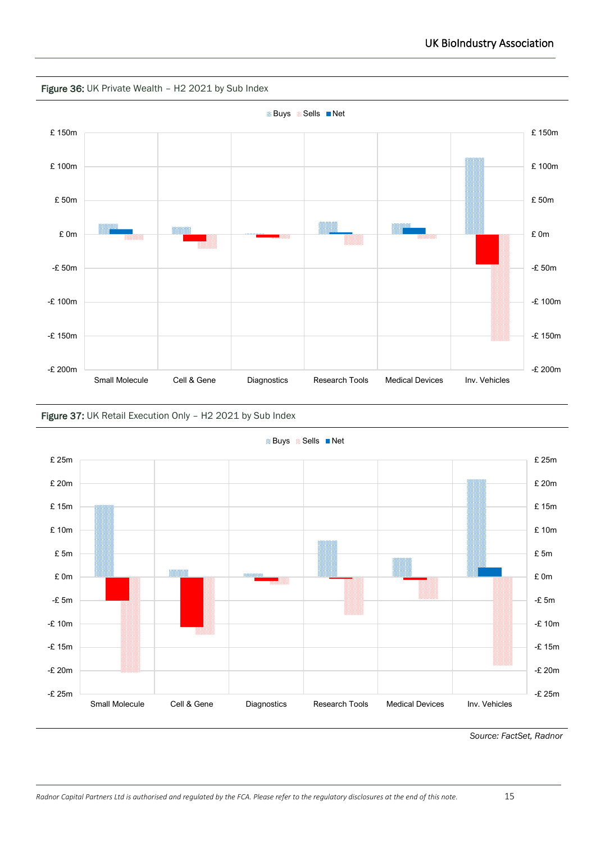

#### Figure 37: UK Retail Execution Only – H2 2021 by Sub Index



<sup>88</sup> Buys <sup>88</sup> Sells ■ Net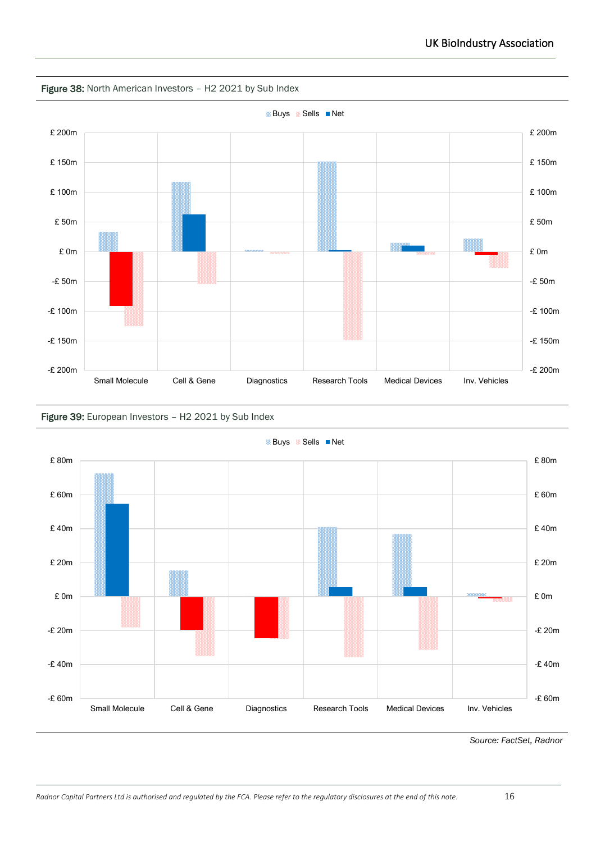

#### Figure 38: North American Investors – H2 2021 by Sub Index



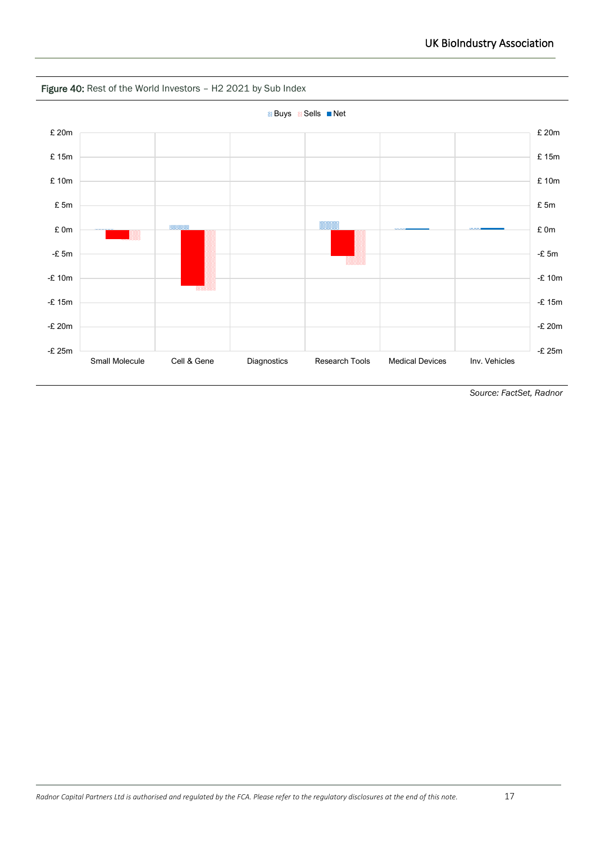

Figure 40: Rest of the World Investors - H2 2021 by Sub Index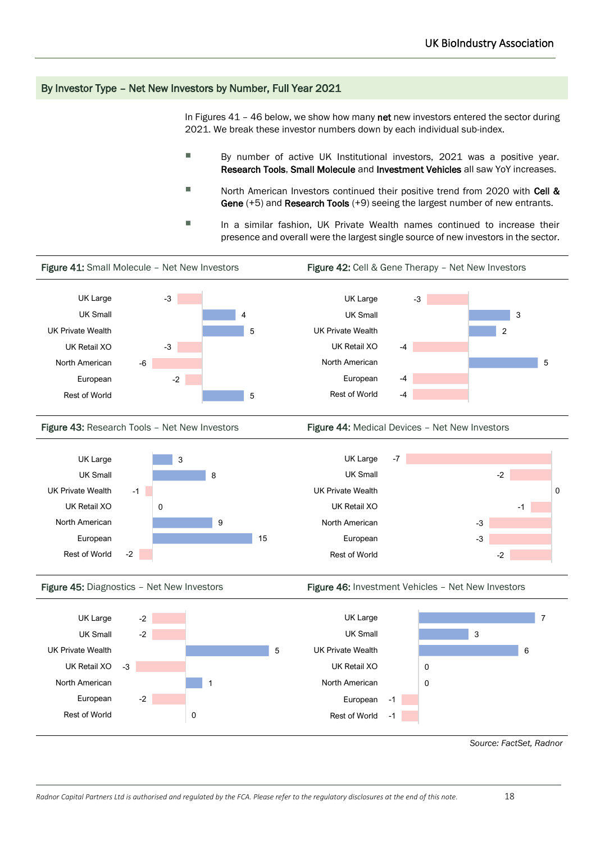#### By Investor Type – Net New Investors by Number, Full Year 2021

In Figures  $41 - 46$  below, we show how many net new investors entered the sector during 2021. We break these investor numbers down by each individual sub-index.

- By number of active UK Institutional investors, 2021 was a positive year. Research Tools, Small Molecule and Investment Vehicles all saw YoY increases.
- North American Investors continued their positive trend from 2020 with Cell & Gene (+5) and Research Tools (+9) seeing the largest number of new entrants.
- In a similar fashion, UK Private Wealth names continued to increase their presence and overall were the largest single source of new investors in the sector.

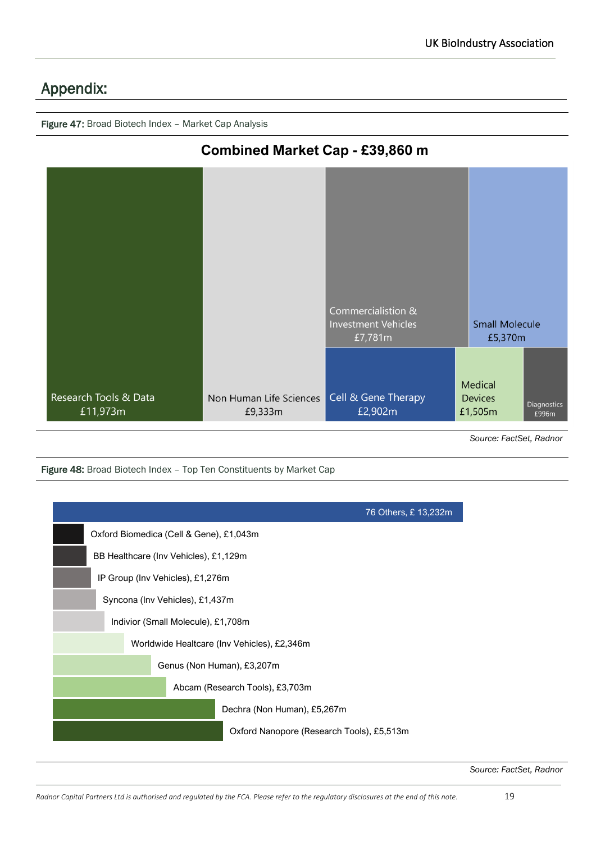# Appendix:

Figure 47: Broad Biotech Index – Market Cap Analysis



*Source: FactSet, Radnor*

Figure 48: Broad Biotech Index - Top Ten Constituents by Market Cap

|                                             | 76 Others, £ 13,232m                      |
|---------------------------------------------|-------------------------------------------|
| Oxford Biomedica (Cell & Gene), £1,043m     |                                           |
| BB Healthcare (Inv Vehicles), £1,129m       |                                           |
| IP Group (Inv Vehicles), £1,276m            |                                           |
| Syncona (Inv Vehicles), £1,437m             |                                           |
| Indivior (Small Molecule), £1,708m          |                                           |
| Worldwide Healtcare (Inv Vehicles), £2,346m |                                           |
| Genus (Non Human), £3,207m                  |                                           |
| Abcam (Research Tools), £3,703m             |                                           |
|                                             | Dechra (Non Human), £5,267m               |
|                                             | Oxford Nanopore (Research Tools), £5,513m |
|                                             |                                           |